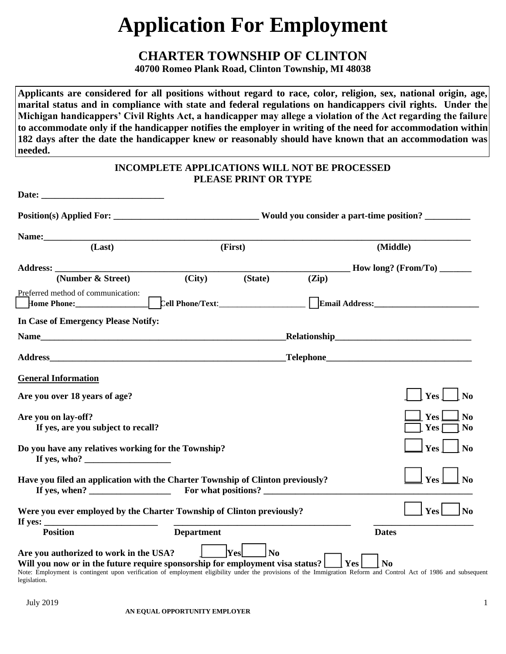# **Application For Employment**

# **CHARTER TOWNSHIP OF CLINTON**

**40700 Romeo Plank Road, Clinton Township, MI 48038**

**Applicants are considered for all positions without regard to race, color, religion, sex, national origin, age, marital status and in compliance with state and federal regulations on handicappers civil rights. Under the Michigan handicappers' Civil Rights Act, a handicapper may allege a violation of the Act regarding the failure to accommodate only if the handicapper notifies the employer in writing of the need for accommodation within 182 days after the date the handicapper knew or reasonably should have known that an accommodation was needed.**

|                                                                                                                                                                                                                                                                                                             | <b>INCOMPLETE APPLICATIONS WILL NOT BE PROCESSED</b> | <b>PLEASE PRINT OR TYPE</b> |       |                                                  |
|-------------------------------------------------------------------------------------------------------------------------------------------------------------------------------------------------------------------------------------------------------------------------------------------------------------|------------------------------------------------------|-----------------------------|-------|--------------------------------------------------|
| <b>Date:</b><br><u> 1980 - John Stone, amerikansk politiker (</u>                                                                                                                                                                                                                                           |                                                      |                             |       |                                                  |
|                                                                                                                                                                                                                                                                                                             |                                                      |                             |       |                                                  |
|                                                                                                                                                                                                                                                                                                             |                                                      |                             |       |                                                  |
| (Last)                                                                                                                                                                                                                                                                                                      |                                                      | (First)                     |       | (Middle)                                         |
|                                                                                                                                                                                                                                                                                                             |                                                      |                             |       | $\frac{1}{2}$ How long? (From/To)                |
| (Number & Street)                                                                                                                                                                                                                                                                                           | (City)                                               | (State)                     | (Zip) |                                                  |
| Preferred method of communication:                                                                                                                                                                                                                                                                          |                                                      |                             |       | Email Address: Email Address:                    |
| In Case of Emergency Please Notify:                                                                                                                                                                                                                                                                         |                                                      |                             |       |                                                  |
|                                                                                                                                                                                                                                                                                                             |                                                      |                             |       |                                                  |
|                                                                                                                                                                                                                                                                                                             |                                                      |                             |       |                                                  |
| <b>General Information</b>                                                                                                                                                                                                                                                                                  |                                                      |                             |       |                                                  |
| Are you over 18 years of age?                                                                                                                                                                                                                                                                               |                                                      |                             |       | Yes<br>N <sub>0</sub>                            |
| Are you on lay-off?<br>If yes, are you subject to recall?                                                                                                                                                                                                                                                   |                                                      |                             |       | Yes  <br>N <sub>0</sub><br>Yes<br>N <sub>0</sub> |
| Do you have any relatives working for the Township?<br>If yes, who? $\qquad \qquad$                                                                                                                                                                                                                         |                                                      |                             |       | Yes<br>N <sub>0</sub>                            |
| Have you filed an application with the Charter Township of Clinton previously?<br>If yes, when? $\qquad \qquad$                                                                                                                                                                                             |                                                      | For what positions?         |       | Yes<br>N <sub>0</sub>                            |
| Were you ever employed by the Charter Township of Clinton previously?<br>If yes: $\overline{\phantom{a}}$<br><u> 1980 - Jan Barbarat, martin da kasar A</u>                                                                                                                                                 |                                                      |                             |       | Yes  <br>$\mathbf{N}\mathbf{0}$                  |
| <b>Position</b>                                                                                                                                                                                                                                                                                             | <b>Department</b>                                    |                             |       | <b>Dates</b>                                     |
| Are you authorized to work in the USA?<br>Will you now or in the future require sponsorship for employment visa status?<br>Note: Employment is contingent upon verification of employment eligibility under the provisions of the Immigration Reform and Control Act of 1986 and subsequent<br>legislation. |                                                      | Yes<br>N <sub>0</sub>       |       | Yes <br>N <sub>0</sub>                           |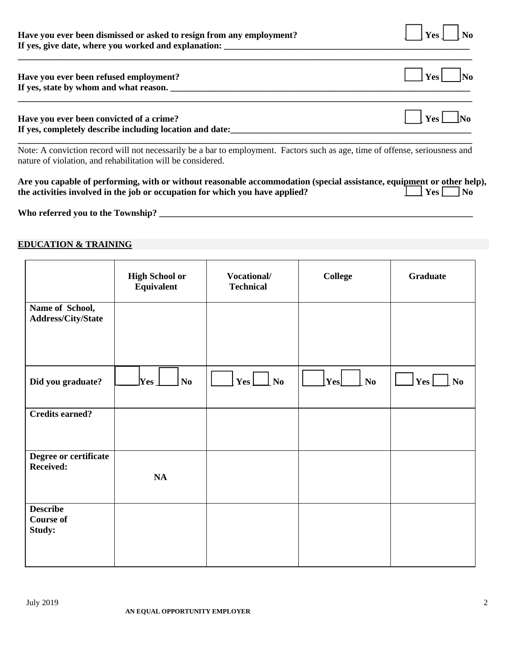| Have you ever been dismissed or asked to resign from any employment? | $\vert$ [Yes] [No |  |
|----------------------------------------------------------------------|-------------------|--|
| If yes, give date, where you worked and explanation:                 |                   |  |

| Have you ever been refused employment?<br>If yes, state by whom and what reason. |                        |
|----------------------------------------------------------------------------------|------------------------|
| Have you ever been convicted of a crime?                                         | $\vert$ Yes $\vert$ No |

**\_\_\_\_\_\_\_\_\_\_\_\_\_\_\_\_\_\_\_\_\_\_\_\_\_\_\_\_\_\_\_\_\_\_\_\_\_\_\_\_\_\_\_\_\_\_\_\_\_\_\_\_\_\_\_\_\_\_\_\_\_\_\_\_\_\_\_\_\_\_\_\_\_\_\_\_\_\_\_\_\_\_\_\_\_\_\_\_\_\_\_\_\_\_\_\_\_\_\_\_**

**If yes, completely describe including location and date:\_\_\_\_\_\_\_\_\_\_\_\_\_\_\_\_\_\_\_\_\_\_\_\_\_\_\_\_\_\_\_\_\_\_\_\_\_\_\_\_\_\_\_\_\_\_\_\_\_\_\_\_\_ \_\_\_\_\_\_\_\_\_\_\_\_\_\_\_\_\_\_\_\_\_\_\_\_\_\_\_\_\_\_\_\_\_\_\_\_\_\_\_\_\_\_\_\_\_\_\_\_\_\_\_\_\_\_\_\_\_\_\_\_\_\_\_\_\_\_\_\_\_\_\_\_\_\_\_\_\_\_\_\_\_\_\_\_\_\_\_\_\_\_\_\_\_\_\_\_\_\_\_\_** Note: A conviction record will not necessarily be a bar to employment. Factors such as age, time of offense, seriousness and nature of violation, and rehabilitation will be considered.

| Are you capable of performing, with or without reasonable accommodation (special assistance, equipment or other help), |                      |
|------------------------------------------------------------------------------------------------------------------------|----------------------|
| the activities involved in the job or occupation for which you have applied?                                           | $\Box$ Yes $\Box$ No |

**Who referred you to the Township? \_\_\_\_\_\_\_\_\_\_\_\_\_\_\_\_\_\_\_\_\_\_\_\_\_\_\_\_\_\_\_\_\_\_\_\_\_\_\_\_\_\_\_\_\_\_\_\_\_\_\_\_\_\_\_\_\_\_\_\_\_\_\_\_\_\_\_\_\_**

# **EDUCATION & TRAINING**

|                                               | <b>High School or</b><br><b>Equivalent</b> | Vocational/<br><b>Technical</b> | <b>College</b>                                                        | <b>Graduate</b>           |
|-----------------------------------------------|--------------------------------------------|---------------------------------|-----------------------------------------------------------------------|---------------------------|
| Name of School,<br><b>Address/City/State</b>  |                                            |                                 |                                                                       |                           |
| Did you graduate?                             | $\bf Yes$<br>No                            | $Yes \_\_\_\$ No                | $\left \lfloor \mathrm{Yes} \right \rfloor$<br>$\mathbf{N}\mathbf{0}$ | $ $ Yes $ $<br>$\perp$ No |
| <b>Credits earned?</b>                        |                                            |                                 |                                                                       |                           |
| Degree or certificate<br><b>Received:</b>     | NA                                         |                                 |                                                                       |                           |
| <b>Describe</b><br><b>Course of</b><br>Study: |                                            |                                 |                                                                       |                           |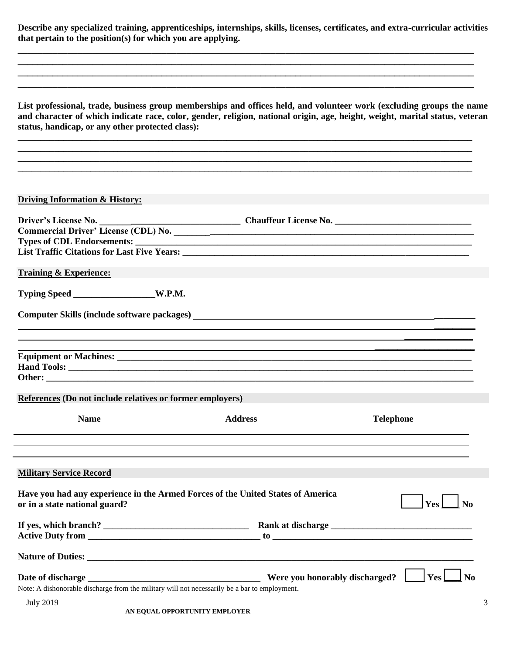**Describe any specialized training, apprenticeships, internships, skills, licenses, certificates, and extra-curricular activities that pertain to the position(s) for which you are applying.**

**\_\_\_\_\_\_\_\_\_\_\_\_\_\_\_\_\_\_\_\_\_\_\_\_\_\_\_\_\_\_\_\_\_\_\_\_\_\_\_\_\_\_\_\_\_\_\_\_\_\_\_\_\_\_\_\_\_\_\_\_\_\_\_\_\_\_\_\_\_\_\_\_\_\_\_\_\_\_\_\_\_\_\_\_\_\_\_\_\_\_\_\_ \_\_\_\_\_\_\_\_\_\_\_\_\_\_\_\_\_\_\_\_\_\_\_\_\_\_\_\_\_\_\_\_\_\_\_\_\_\_\_\_\_\_\_\_\_\_\_\_\_\_\_\_\_\_\_\_\_\_\_\_\_\_\_\_\_\_\_\_\_\_\_\_\_\_\_\_\_\_\_\_\_\_\_\_\_\_\_\_\_\_\_\_ \_\_\_\_\_\_\_\_\_\_\_\_\_\_\_\_\_\_\_\_\_\_\_\_\_\_\_\_\_\_\_\_\_\_\_\_\_\_\_\_\_\_\_\_\_\_\_\_\_\_\_\_\_\_\_\_\_\_\_\_\_\_\_\_\_\_\_\_\_\_\_\_\_\_\_\_\_\_\_\_\_\_\_\_\_\_\_\_\_\_\_\_ \_\_\_\_\_\_\_\_\_\_\_\_\_\_\_\_\_\_\_\_\_\_\_\_\_\_\_\_\_\_\_\_\_\_\_\_\_\_\_\_\_\_\_\_\_\_\_\_\_\_\_\_\_\_\_\_\_\_\_\_\_\_\_\_\_\_\_\_\_\_\_\_\_\_\_\_\_\_\_\_\_\_\_\_\_\_\_\_\_\_\_\_**

**List professional, trade, business group memberships and offices held, and volunteer work (excluding groups the name and character of which indicate race, color, gender, religion, national origin, age, height, weight, marital status, veteran status, handicap, or any other protected class):**

**\_\_\_\_\_\_\_\_\_\_\_\_\_\_\_\_\_\_\_\_\_\_\_\_\_\_\_\_\_\_\_\_\_\_\_\_\_\_\_\_\_\_\_\_\_\_\_\_\_\_\_\_\_\_\_\_\_\_\_\_\_\_\_\_\_\_\_\_\_\_\_\_\_\_\_\_\_\_\_\_\_\_\_\_\_\_\_\_\_\_\_\_\_\_\_\_\_\_\_\_ \_\_\_\_\_\_\_\_\_\_\_\_\_\_\_\_\_\_\_\_\_\_\_\_\_\_\_\_\_\_\_\_\_\_\_\_\_\_\_\_\_\_\_\_\_\_\_\_\_\_\_\_\_\_\_\_\_\_\_\_\_\_\_\_\_\_\_\_\_\_\_\_\_\_\_\_\_\_\_\_\_\_\_\_\_\_\_\_\_\_\_\_\_\_\_\_\_\_\_\_ \_\_\_\_\_\_\_\_\_\_\_\_\_\_\_\_\_\_\_\_\_\_\_\_\_\_\_\_\_\_\_\_\_\_\_\_\_\_\_\_\_\_\_\_\_\_\_\_\_\_\_\_\_\_\_\_\_\_\_\_\_\_\_\_\_\_\_\_\_\_\_\_\_\_\_\_\_\_\_\_\_\_\_\_\_\_\_\_\_\_\_\_\_\_\_\_\_\_\_\_**

#### **Driving Information & History:**

| <b>Training &amp; Experience:</b>                                                                                |                                                            |                         |  |
|------------------------------------------------------------------------------------------------------------------|------------------------------------------------------------|-------------------------|--|
| Typing Speed W.P.M.                                                                                              |                                                            |                         |  |
|                                                                                                                  |                                                            |                         |  |
|                                                                                                                  | <u> 1989 - Johann Stoff, amerikansk politiker (* 1908)</u> |                         |  |
|                                                                                                                  |                                                            |                         |  |
|                                                                                                                  |                                                            |                         |  |
| References (Do not include relatives or former employers)                                                        |                                                            |                         |  |
| <b>Name</b>                                                                                                      | <b>Address</b>                                             | <b>Telephone</b>        |  |
|                                                                                                                  |                                                            |                         |  |
| <b>Military Service Record</b>                                                                                   |                                                            |                         |  |
| Have you had any experience in the Armed Forces of the United States of America<br>or in a state national guard? |                                                            | $ {\rm Yes} $ No        |  |
|                                                                                                                  |                                                            |                         |  |
|                                                                                                                  |                                                            |                         |  |
|                                                                                                                  |                                                            |                         |  |
|                                                                                                                  |                                                            | Yes L<br>N <sub>0</sub> |  |
| Note: A dishonorable discharge from the military will not necessarily be a bar to employment.                    |                                                            |                         |  |
| <b>July 2019</b>                                                                                                 |                                                            | 3                       |  |
|                                                                                                                  | AN EQUAL OPPORTUNITY EMPLOYER                              |                         |  |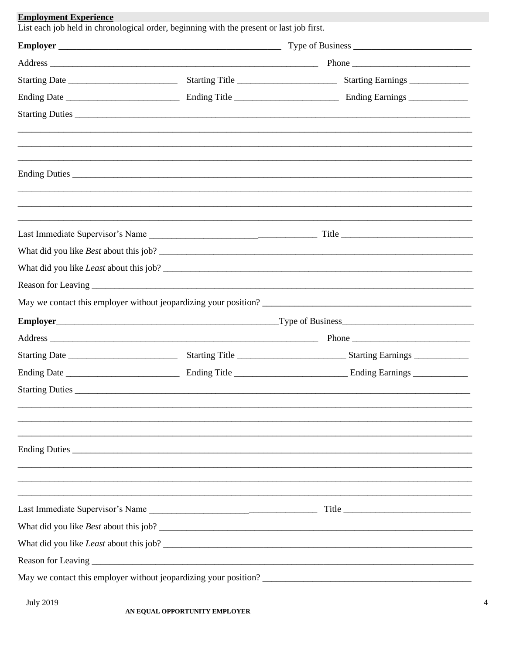| Starting Duties |  |
|-----------------|--|
|                 |  |
|                 |  |
|                 |  |
|                 |  |
|                 |  |
|                 |  |
|                 |  |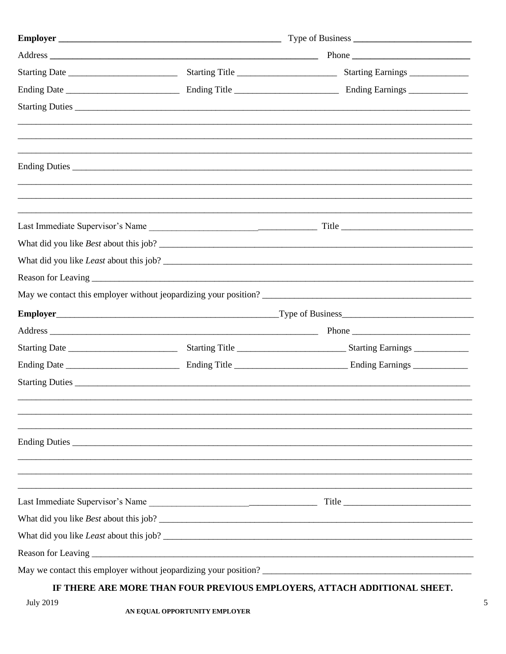|  | May we contact this employer without jeopardizing your position?                                                                          |  |  |
|--|-------------------------------------------------------------------------------------------------------------------------------------------|--|--|
|  |                                                                                                                                           |  |  |
|  |                                                                                                                                           |  |  |
|  |                                                                                                                                           |  |  |
|  |                                                                                                                                           |  |  |
|  |                                                                                                                                           |  |  |
|  |                                                                                                                                           |  |  |
|  |                                                                                                                                           |  |  |
|  |                                                                                                                                           |  |  |
|  |                                                                                                                                           |  |  |
|  |                                                                                                                                           |  |  |
|  |                                                                                                                                           |  |  |
|  |                                                                                                                                           |  |  |
|  |                                                                                                                                           |  |  |
|  | $\mathbf{r}$ myrnel (en izone my) i neove energy over $\mathbf{r}$ to $\mathbf{r}$ over $\alpha$ (mm) over $\alpha$ (energy) $\mathbf{r}$ |  |  |

## IF THERE ARE MORE THAN FOUR PREVIOUS EMPLOYERS, ATTACH ADDITIONAL SHEET.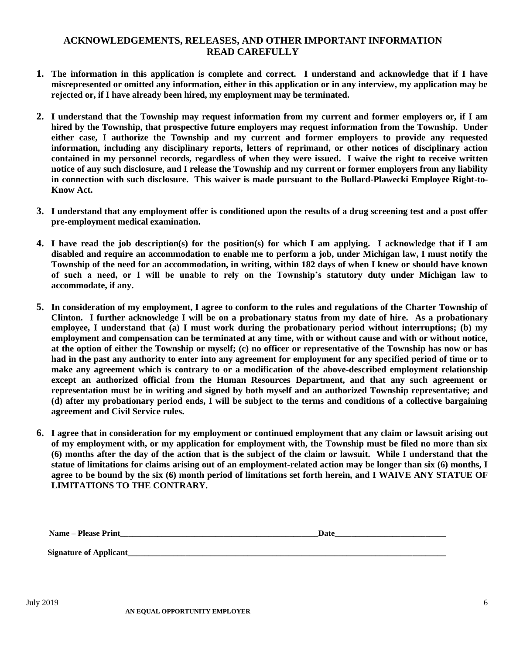## **ACKNOWLEDGEMENTS, RELEASES, AND OTHER IMPORTANT INFORMATION READ CAREFULLY**

- **1. The information in this application is complete and correct. I understand and acknowledge that if I have misrepresented or omitted any information, either in this application or in any interview, my application may be rejected or, if I have already been hired, my employment may be terminated.**
- **2. I understand that the Township may request information from my current and former employers or, if I am hired by the Township, that prospective future employers may request information from the Township. Under either case, I authorize the Township and my current and former employers to provide any requested information, including any disciplinary reports, letters of reprimand, or other notices of disciplinary action contained in my personnel records, regardless of when they were issued. I waive the right to receive written notice of any such disclosure, and I release the Township and my current or former employers from any liability in connection with such disclosure. This waiver is made pursuant to the Bullard-Plawecki Employee Right-to-Know Act.**
- **3. I understand that any employment offer is conditioned upon the results of a drug screening test and a post offer pre-employment medical examination.**
- **4. I have read the job description(s) for the position(s) for which I am applying. I acknowledge that if I am disabled and require an accommodation to enable me to perform a job, under Michigan law, I must notify the Township of the need for an accommodation, in writing, within 182 days of when I knew or should have known of such a need, or I will be unable to rely on the Township's statutory duty under Michigan law to accommodate, if any.**
- **5. In consideration of my employment, I agree to conform to the rules and regulations of the Charter Township of Clinton. I further acknowledge I will be on a probationary status from my date of hire. As a probationary employee, I understand that (a) I must work during the probationary period without interruptions; (b) my employment and compensation can be terminated at any time, with or without cause and with or without notice, at the option of either the Township or myself; (c) no officer or representative of the Township has now or has had in the past any authority to enter into any agreement for employment for any specified period of time or to make any agreement which is contrary to or a modification of the above-described employment relationship except an authorized official from the Human Resources Department, and that any such agreement or representation must be in writing and signed by both myself and an authorized Township representative; and (d) after my probationary period ends, I will be subject to the terms and conditions of a collective bargaining agreement and Civil Service rules.**
- **6. I agree that in consideration for my employment or continued employment that any claim or lawsuit arising out of my employment with, or my application for employment with, the Township must be filed no more than six (6) months after the day of the action that is the subject of the claim or lawsuit. While I understand that the statue of limitations for claims arising out of an employment-related action may be longer than six (6) months, I agree to be bound by the six (6) month period of limitations set forth herein, and I WAIVE ANY STATUE OF LIMITATIONS TO THE CONTRARY.**

| - -<br>- - - -<br>чап<br>---- | $  -$ |
|-------------------------------|-------|
|                               |       |

Signature of Applicant\_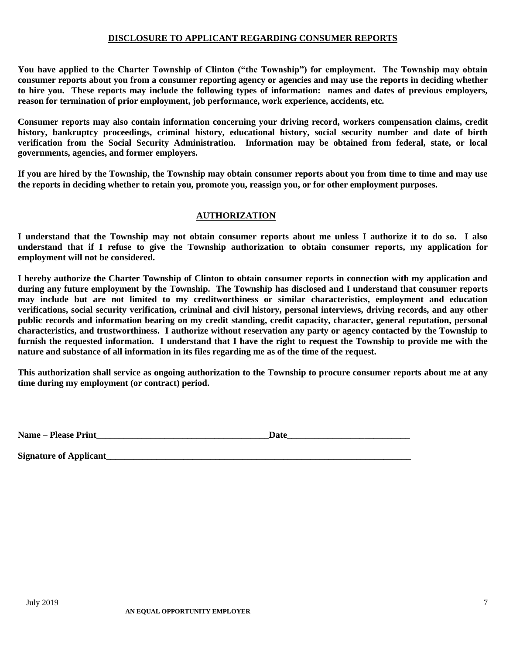#### **DISCLOSURE TO APPLICANT REGARDING CONSUMER REPORTS**

**You have applied to the Charter Township of Clinton ("the Township") for employment. The Township may obtain consumer reports about you from a consumer reporting agency or agencies and may use the reports in deciding whether to hire you. These reports may include the following types of information: names and dates of previous employers, reason for termination of prior employment, job performance, work experience, accidents, etc.**

**Consumer reports may also contain information concerning your driving record, workers compensation claims, credit history, bankruptcy proceedings, criminal history, educational history, social security number and date of birth verification from the Social Security Administration. Information may be obtained from federal, state, or local governments, agencies, and former employers.**

**If you are hired by the Township, the Township may obtain consumer reports about you from time to time and may use the reports in deciding whether to retain you, promote you, reassign you, or for other employment purposes.**

#### **AUTHORIZATION**

**I understand that the Township may not obtain consumer reports about me unless I authorize it to do so. I also understand that if I refuse to give the Township authorization to obtain consumer reports, my application for employment will not be considered.**

**I hereby authorize the Charter Township of Clinton to obtain consumer reports in connection with my application and during any future employment by the Township. The Township has disclosed and I understand that consumer reports may include but are not limited to my creditworthiness or similar characteristics, employment and education verifications, social security verification, criminal and civil history, personal interviews, driving records, and any other public records and information bearing on my credit standing, credit capacity, character, general reputation, personal characteristics, and trustworthiness. I authorize without reservation any party or agency contacted by the Township to furnish the requested information. I understand that I have the right to request the Township to provide me with the nature and substance of all information in its files regarding me as of the time of the request.**

**This authorization shall service as ongoing authorization to the Township to procure consumer reports about me at any time during my employment (or contract) period.**

**Name – Please Print\_\_\_\_\_\_\_\_\_\_\_\_\_\_\_\_\_\_\_\_\_\_\_\_\_\_\_\_\_\_\_\_\_\_\_\_\_\_Date\_\_\_\_\_\_\_\_\_\_\_\_\_\_\_\_\_\_\_\_\_\_\_\_\_\_\_**

**Signature of Applicant\_\_\_\_\_\_\_\_\_\_\_\_\_\_\_\_\_\_\_\_\_\_\_\_\_\_\_\_\_\_\_\_\_\_\_\_\_\_\_\_\_\_\_\_\_\_\_\_\_\_\_\_\_\_\_\_\_\_\_\_\_\_\_\_\_\_\_**